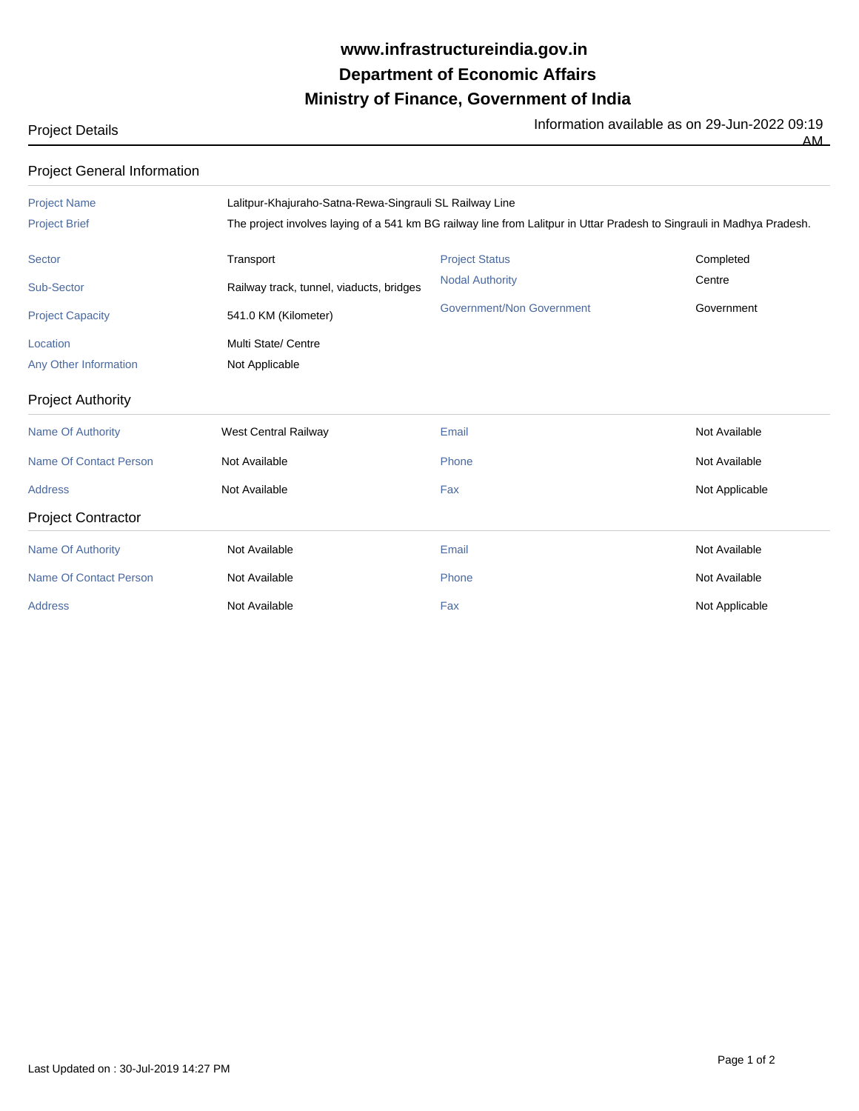## **Ministry of Finance, Government of India Department of Economic Affairs www.infrastructureindia.gov.in**

Project Details **Information available as on 29-Jun-2022** 09:19

| r rojoot Dotano                    |                                                                                                                        |                           | AM _                                                                                                                |  |
|------------------------------------|------------------------------------------------------------------------------------------------------------------------|---------------------------|---------------------------------------------------------------------------------------------------------------------|--|
| <b>Project General Information</b> |                                                                                                                        |                           |                                                                                                                     |  |
| <b>Project Name</b>                | Lalitpur-Khajuraho-Satna-Rewa-Singrauli SL Railway Line                                                                |                           |                                                                                                                     |  |
| <b>Project Brief</b>               | The project involves laying of a 541 km BG railway line from Lalitpur in Uttar Pradesh to Singrauli in Madhya Pradesh. |                           |                                                                                                                     |  |
| <b>Sector</b>                      | Transport                                                                                                              | <b>Project Status</b>     | Completed                                                                                                           |  |
| Sub-Sector                         | Railway track, tunnel, viaducts, bridges                                                                               | <b>Nodal Authority</b>    | Centre                                                                                                              |  |
| <b>Project Capacity</b>            | 541.0 KM (Kilometer)                                                                                                   | Government/Non Government | Government                                                                                                          |  |
| Location                           | Multi State/ Centre                                                                                                    |                           |                                                                                                                     |  |
| Any Other Information              | Not Applicable                                                                                                         |                           |                                                                                                                     |  |
| <b>Project Authority</b>           |                                                                                                                        |                           |                                                                                                                     |  |
| <b>Name Of Authority</b>           | <b>West Central Railway</b>                                                                                            | Email                     | Not Available                                                                                                       |  |
| <b>Name Of Contact Person</b>      | Not Available                                                                                                          | Phone                     | Not Available                                                                                                       |  |
| And also a series                  | $M = 1$ $A = 1$ $A = 1$                                                                                                | .                         | $\mathbf{A}$ $\mathbf{I}$ and $\mathbf{A}$ are as $\mathbf{I}^*$ and $\mathbf{I}$ and $\mathbf{I}$ and $\mathbf{I}$ |  |

Address **Not Available Community Community Community Community Community Community Community Community Community** Project Contractor Name Of Authority **Not Available Not Available Email** Email **Email Not Available** Not Available Name Of Contact Person **Not Available** Not Available **Phone** Phone Not Available Not Available Address **Not Available Community Community** Fax Fax Not Applicable Not Applicable